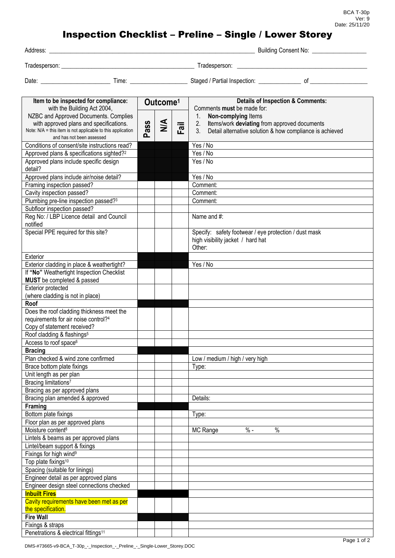## Inspection Checklist – Preline – Single / Lower Storey

| Address:      |       |                                    | <b>Building Consent No:</b> |  |  |  |
|---------------|-------|------------------------------------|-----------------------------|--|--|--|
| Tradesperson: |       | Tradesperson:                      |                             |  |  |  |
| Date:         | Time: | Staged / Partial Inspection:<br>nı |                             |  |  |  |

| Item to be inspected for compliance:<br>with the Building Act 2004,                                    |      | Outcome <sup>1</sup> |      | <b>Details of Inspection &amp; Comments:</b>                                                                                     |
|--------------------------------------------------------------------------------------------------------|------|----------------------|------|----------------------------------------------------------------------------------------------------------------------------------|
|                                                                                                        |      |                      |      | Comments must be made for:                                                                                                       |
| NZBC and Approved Documents. Complies                                                                  |      |                      |      | Non-complying Items<br>1.                                                                                                        |
| with approved plans and specifications.<br>Note: N/A = this item is not applicable to this application | Pass | $\frac{4}{2}$        | Fail | 2.<br>Items/work deviating from approved documents<br>3 <sub>1</sub><br>Detail alternative solution & how compliance is achieved |
| and has not been assessed                                                                              |      |                      |      |                                                                                                                                  |
| Conditions of consent/site instructions read?                                                          |      |                      |      | Yes / No                                                                                                                         |
| Approved plans & specifications sighted? <sup>2</sup>                                                  |      |                      |      | Yes / No                                                                                                                         |
| Approved plans include specific design                                                                 |      |                      |      | Yes / No                                                                                                                         |
| detail?                                                                                                |      |                      |      |                                                                                                                                  |
| Approved plans include air/noise detail?                                                               |      |                      |      | Yes / No                                                                                                                         |
| Framing inspection passed?                                                                             |      |                      |      | Comment:                                                                                                                         |
| Cavity inspection passed?                                                                              |      |                      |      | Comment:                                                                                                                         |
| Plumbing pre-line inspection passed?3                                                                  |      |                      |      | Comment:                                                                                                                         |
| Subfloor inspection passed?                                                                            |      |                      |      |                                                                                                                                  |
| Reg No: / LBP Licence detail and Council                                                               |      |                      |      | Name and #:                                                                                                                      |
| notified                                                                                               |      |                      |      |                                                                                                                                  |
| Special PPE required for this site?                                                                    |      |                      |      | Specify: safety footwear / eye protection / dust mask                                                                            |
|                                                                                                        |      |                      |      | high visibility jacket / hard hat                                                                                                |
|                                                                                                        |      |                      |      | Other:                                                                                                                           |
| Exterior                                                                                               |      |                      |      |                                                                                                                                  |
| Exterior cladding in place & weathertight?                                                             |      |                      |      | Yes / No                                                                                                                         |
| If "No" Weathertight Inspection Checklist                                                              |      |                      |      |                                                                                                                                  |
| MUST be completed & passed                                                                             |      |                      |      |                                                                                                                                  |
| <b>Exterior protected</b>                                                                              |      |                      |      |                                                                                                                                  |
| (where cladding is not in place)<br>Roof                                                               |      |                      |      |                                                                                                                                  |
| Does the roof cladding thickness meet the                                                              |      |                      |      |                                                                                                                                  |
| requirements for air noise control?4                                                                   |      |                      |      |                                                                                                                                  |
| Copy of statement received?                                                                            |      |                      |      |                                                                                                                                  |
| Roof cladding & flashings <sup>5</sup>                                                                 |      |                      |      |                                                                                                                                  |
| Access to roof space <sup>6</sup>                                                                      |      |                      |      |                                                                                                                                  |
| <b>Bracing</b>                                                                                         |      |                      |      |                                                                                                                                  |
| Plan checked & wind zone confirmed                                                                     |      |                      |      | Low / medium / high / very high                                                                                                  |
| Brace bottom plate fixings                                                                             |      |                      |      | Type:                                                                                                                            |
| Unit length as per plan                                                                                |      |                      |      |                                                                                                                                  |
| Bracing limitations <sup>7</sup>                                                                       |      |                      |      |                                                                                                                                  |
| Bracing as per approved plans                                                                          |      |                      |      |                                                                                                                                  |
| Bracing plan amended & approved                                                                        |      |                      |      | Details:                                                                                                                         |
| Framing                                                                                                |      |                      |      |                                                                                                                                  |
| Bottom plate fixings                                                                                   |      |                      |      | Type:                                                                                                                            |
| Floor plan as per approved plans                                                                       |      |                      |      |                                                                                                                                  |
| Moisture content <sup>8</sup>                                                                          |      |                      |      | $\%$<br>MC Range<br>$% -$                                                                                                        |
| Lintels & beams as per approved plans                                                                  |      |                      |      |                                                                                                                                  |
| Lintel/beam support & fixings                                                                          |      |                      |      |                                                                                                                                  |
| Fixings for high wind <sup>9</sup>                                                                     |      |                      |      |                                                                                                                                  |
| Top plate fixings <sup>10</sup>                                                                        |      |                      |      |                                                                                                                                  |
| Spacing (suitable for linings)                                                                         |      |                      |      |                                                                                                                                  |
| Engineer detail as per approved plans                                                                  |      |                      |      |                                                                                                                                  |
| Engineer design steel connections checked                                                              |      |                      |      |                                                                                                                                  |
| <b>Inbuilt Fires</b>                                                                                   |      |                      |      |                                                                                                                                  |
| Cavity requirements have been met as per                                                               |      |                      |      |                                                                                                                                  |
| the specification.                                                                                     |      |                      |      |                                                                                                                                  |
| <b>Fire Wall</b>                                                                                       |      |                      |      |                                                                                                                                  |
| Fixings & straps                                                                                       |      |                      |      |                                                                                                                                  |
| Penetrations & electrical fittings <sup>11</sup>                                                       |      |                      |      |                                                                                                                                  |